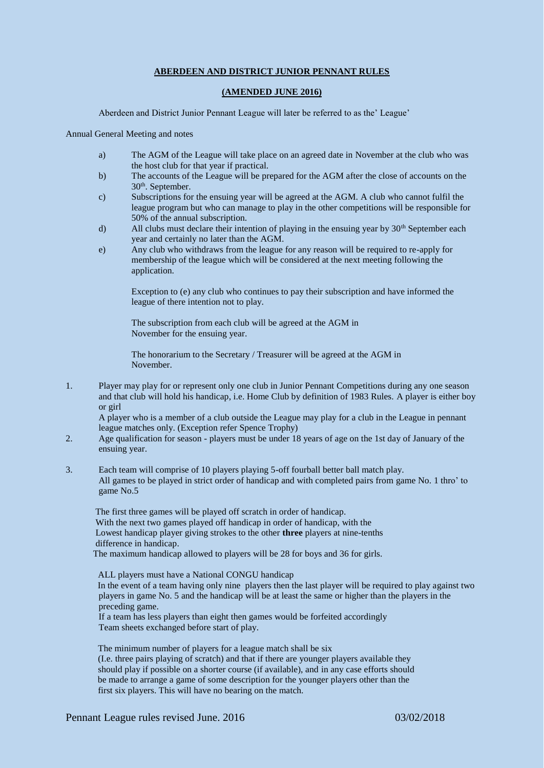## **ABERDEEN AND DISTRICT JUNIOR PENNANT RULES**

#### **(AMENDED JUNE 2016)**

Aberdeen and District Junior Pennant League will later be referred to as the' League'

Annual General Meeting and notes

- a) The AGM of the League will take place on an agreed date in November at the club who was the host club for that year if practical.
- b) The accounts of the League will be prepared for the AGM after the close of accounts on the 30th. September.
- c) Subscriptions for the ensuing year will be agreed at the AGM. A club who cannot fulfil the league program but who can manage to play in the other competitions will be responsible for 50% of the annual subscription.
- d) All clubs must declare their intention of playing in the ensuing year by 30<sup>th</sup> September each year and certainly no later than the AGM.
- e) Any club who withdraws from the league for any reason will be required to re-apply for membership of the league which will be considered at the next meeting following the application.

Exception to (e) any club who continues to pay their subscription and have informed the league of there intention not to play.

The subscription from each club will be agreed at the AGM in November for the ensuing year.

The honorarium to the Secretary / Treasurer will be agreed at the AGM in November.

1. Player may play for or represent only one club in Junior Pennant Competitions during any one season and that club will hold his handicap, i.e. Home Club by definition of 1983 Rules. A player is either boy or girl

A player who is a member of a club outside the League may play for a club in the League in pennant league matches only. (Exception refer Spence Trophy)

- 2. Age qualification for season players must be under 18 years of age on the 1st day of January of the ensuing year.
- 3. Each team will comprise of 10 players playing 5-off fourball better ball match play. All games to be played in strict order of handicap and with completed pairs from game No. 1 thro' to game No.5

 The first three games will be played off scratch in order of handicap. With the next two games played off handicap in order of handicap, with the Lowest handicap player giving strokes to the other **three** players at nine-tenths difference in handicap. The maximum handicap allowed to players will be 28 for boys and 36 for girls.

ALL players must have a National CONGU handicap In the event of a team having only nine players then the last player will be required to play against two players in game No. 5 and the handicap will be at least the same or higher than the players in the preceding game.

If a team has less players than eight then games would be forfeited accordingly Team sheets exchanged before start of play.

The minimum number of players for a league match shall be six (I.e. three pairs playing of scratch) and that if there are younger players available they should play if possible on a shorter course (if available), and in any case efforts should be made to arrange a game of some description for the younger players other than the first six players. This will have no bearing on the match.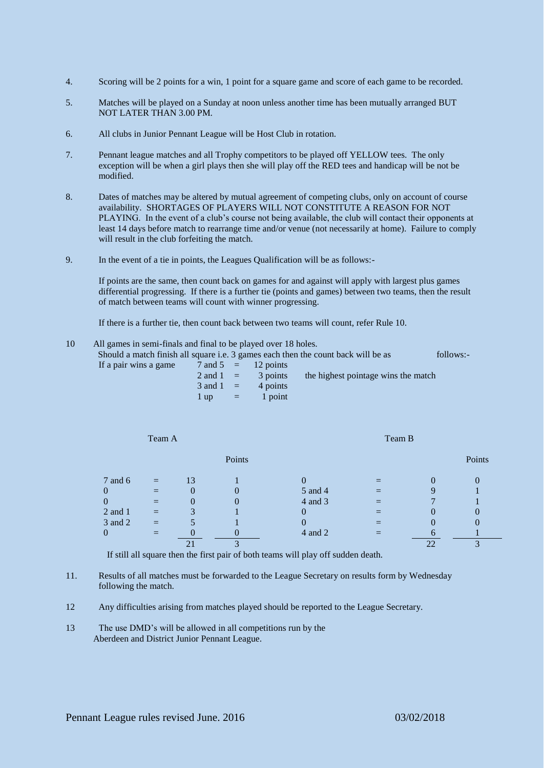- 4. Scoring will be 2 points for a win, 1 point for a square game and score of each game to be recorded.
- 5. Matches will be played on a Sunday at noon unless another time has been mutually arranged BUT NOT LATER THAN 3.00 PM.
- 6. All clubs in Junior Pennant League will be Host Club in rotation.
- 7. Pennant league matches and all Trophy competitors to be played off YELLOW tees. The only exception will be when a girl plays then she will play off the RED tees and handicap will be not be modified.
- 8. Dates of matches may be altered by mutual agreement of competing clubs, only on account of course availability. SHORTAGES OF PLAYERS WILL NOT CONSTITUTE A REASON FOR NOT PLAYING. In the event of a club's course not being available, the club will contact their opponents at least 14 days before match to rearrange time and/or venue (not necessarily at home). Failure to comply will result in the club forfeiting the match.
- 9. In the event of a tie in points, the Leagues Qualification will be as follows:-

If points are the same, then count back on games for and against will apply with largest plus games differential progressing. If there is a further tie (points and games) between two teams, then the result of match between teams will count with winner progressing.

If there is a further tie, then count back between two teams will count, refer Rule 10.

| 10 | All games in semi-finals and final to be played over 18 holes.                                 |                  |  |                                        |                                     |  |  |
|----|------------------------------------------------------------------------------------------------|------------------|--|----------------------------------------|-------------------------------------|--|--|
|    | Should a match finish all square i.e. 3 games each then the count back will be as<br>follows:- |                  |  |                                        |                                     |  |  |
|    | If a pair wins a game                                                                          |                  |  | $7 \text{ and } 5 = 12 \text{ points}$ |                                     |  |  |
|    |                                                                                                | $2$ and $1 =$    |  | 3 points                               | the highest pointage wins the match |  |  |
|    |                                                                                                | $3$ and $1 =$    |  | 4 points                               |                                     |  |  |
|    |                                                                                                | $1 \text{ up} =$ |  | 1 point                                |                                     |  |  |

|                | Team A |          |          | Team B  |  |    |        |  |
|----------------|--------|----------|----------|---------|--|----|--------|--|
|                |        |          | Points   |         |  |    | Points |  |
| $7$ and $6$    | $=$    | 13       |          |         |  |    |        |  |
| 0              |        | O        | $\theta$ | 5 and 4 |  |    |        |  |
| $\overline{0}$ | $=$    | $\Omega$ | $\left($ | 4 and 3 |  |    |        |  |
| $2$ and $1$    | $=$    | 3        |          |         |  |    |        |  |
| $3$ and $2$    | $=$    |          |          |         |  |    |        |  |
| 0              |        |          |          | 4 and 2 |  |    |        |  |
|                |        | 21       | 3        |         |  | 22 |        |  |

If still all square then the first pair of both teams will play off sudden death.

- 11. Results of all matches must be forwarded to the League Secretary on results form by Wednesday following the match.
- 12 Any difficulties arising from matches played should be reported to the League Secretary.
- 13 The use DMD's will be allowed in all competitions run by the Aberdeen and District Junior Pennant League.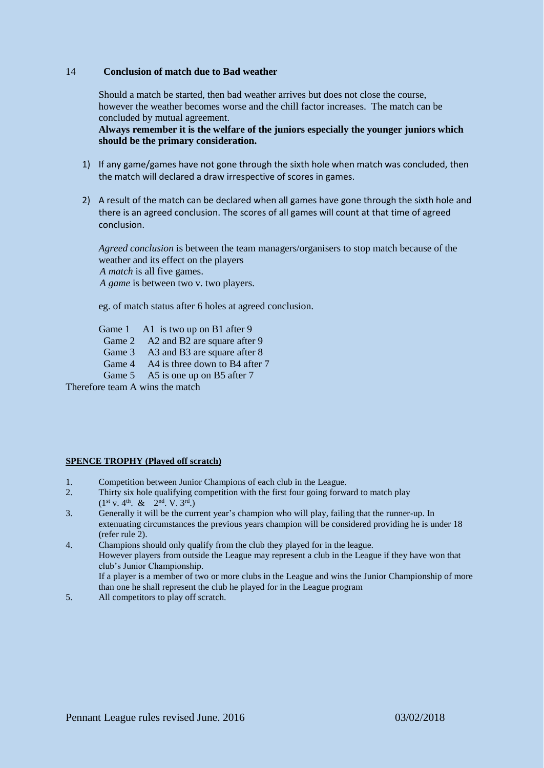#### 14 **Conclusion of match due to Bad weather**

Should a match be started, then bad weather arrives but does not close the course, however the weather becomes worse and the chill factor increases. The match can be concluded by mutual agreement.

**Always remember it is the welfare of the juniors especially the younger juniors which should be the primary consideration.**

- 1) If any game/games have not gone through the sixth hole when match was concluded, then the match will declared a draw irrespective of scores in games.
- 2) A result of the match can be declared when all games have gone through the sixth hole and there is an agreed conclusion. The scores of all games will count at that time of agreed conclusion.

*Agreed conclusion* is between the team managers/organisers to stop match because of the weather and its effect on the players  *A match* is all five games.  *A game* is between two v. two players.

eg. of match status after 6 holes at agreed conclusion.

- Game 1 A1 is two up on B1 after 9
- Game 2 A2 and B2 are square after 9
- Game 3 A3 and B3 are square after 8
- Game 4 A4 is three down to B4 after 7
- Game 5 A5 is one up on B5 after 7

Therefore team A wins the match

# **SPENCE TROPHY (Played off scratch)**

- 1. Competition between Junior Champions of each club in the League.
- 2. Thirty six hole qualifying competition with the first four going forward to match play  $(1^{st} v. 4^{th} \& 2^{nd} \cdot V. 3^{rd})$
- 3. Generally it will be the current year's champion who will play, failing that the runner-up. In extenuating circumstances the previous years champion will be considered providing he is under 18 (refer rule 2).
- 4. Champions should only qualify from the club they played for in the league. However players from outside the League may represent a club in the League if they have won that club's Junior Championship. If a player is a member of two or more clubs in the League and wins the Junior Championship of more than one he shall represent the club he played for in the League program
- 5. All competitors to play off scratch.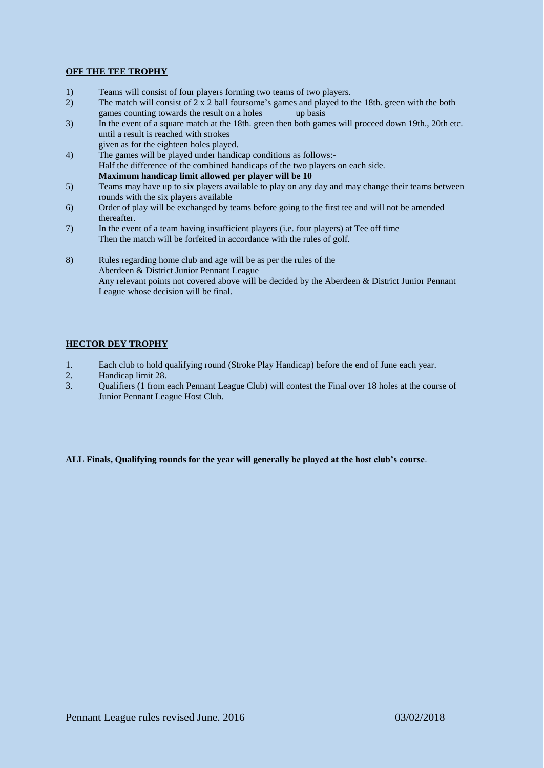## **OFF THE TEE TROPHY**

- 1) Teams will consist of four players forming two teams of two players.
- 2) The match will consist of 2 x 2 ball foursome's games and played to the 18th. green with the both games counting towards the result on a holes up basis
- 3) In the event of a square match at the 18th. green then both games will proceed down 19th., 20th etc. until a result is reached with strokes given as for the eighteen holes played.
- 4) The games will be played under handicap conditions as follows:- Half the difference of the combined handicaps of the two players on each side. **Maximum handicap limit allowed per player will be 10**
- 5) Teams may have up to six players available to play on any day and may change their teams between rounds with the six players available
- 6) Order of play will be exchanged by teams before going to the first tee and will not be amended thereafter.
- 7) In the event of a team having insufficient players (i.e. four players) at Tee off time Then the match will be forfeited in accordance with the rules of golf.
- 8) Rules regarding home club and age will be as per the rules of the Aberdeen & District Junior Pennant League Any relevant points not covered above will be decided by the Aberdeen & District Junior Pennant League whose decision will be final.

# **HECTOR DEY TROPHY**

- 1. Each club to hold qualifying round (Stroke Play Handicap) before the end of June each year.
- 2. Handicap limit 28.
- 3. Qualifiers (1 from each Pennant League Club) will contest the Final over 18 holes at the course of Junior Pennant League Host Club.

**ALL Finals, Qualifying rounds for the year will generally be played at the host club's course**.